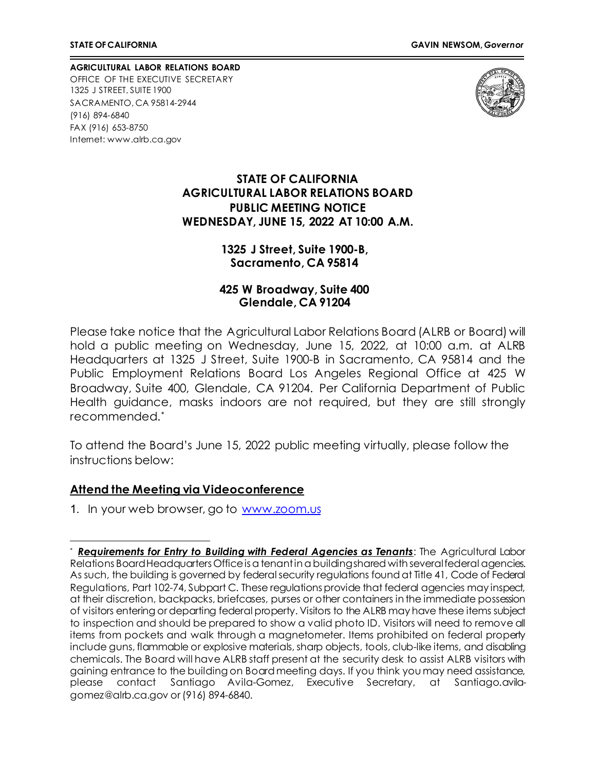**AGRICULTURAL LABOR RELATIONS BOARD** OFFICE OF THE EXECUTIVE SECRETARY 1325 J STREET, SUITE 1900 SACRAMENTO, CA 95814-2944 (916) 894-6840 FAX (916) 653-8750 Internet[: www.alrb.ca.gov](http://www.alrb.ca.gov/)



#### **STATE OF CALIFORNIA AGRICULTURAL LABOR RELATIONS BOARD PUBLIC MEETING NOTICE WEDNESDAY, JUNE 15, 2022 AT 10:00 A.M.**

#### **1325 J Street, Suite 1900-B, Sacramento, CA 95814**

#### **425 W Broadway, Suite 400 Glendale, CA 91204**

Please take notice that the Agricultural Labor Relations Board (ALRB or Board) will hold a public meeting on Wednesday, June 15, 2022, at 10:00 a.m. at ALRB Headquarters at 1325 J Street, Suite 1900-B in Sacramento, CA 95814 and the Public Employment Relations Board Los Angeles Regional Office at 425 W Broadway, Suite 400, Glendale, CA 91204. Per California Department of Public Health guidance, masks indoors are not required, but they are still strongly recommended.[\\*](#page-0-0)

To attend the Board's June 15, 2022 public meeting virtually, please follow the instructions below:

#### **Attend the Meeting via Videoconference**

1. In your web browser, go to [www.zoom.us](http://www.zoom.us/)

<span id="page-0-0"></span>**Requirements for Entry to Building with Federal Agencies as Tenants:** The Agricultural Labor Relations Board Headquarters Office is a tenant in a building shared with several federal agencies. As such, the building is governed by federal security regulations found at Title 41, Code of Federal Regulations, Part 102-74, Subpart C. These regulations provide that federal agencies may inspect, at their discretion, backpacks, briefcases, purses or other containers in the immediate possession of visitors entering or departing federal property. Visitors to the ALRB may have these items subject to inspection and should be prepared to show a valid photo ID. Visitors will need to remove all items from pockets and walk through a magnetometer. Items prohibited on federal property include guns, flammable or explosive materials, sharp objects, tools, club-like items, and disabling chemicals. The Board will have ALRB staff present at the security desk to assist ALRB visitors with gaining entrance to the building on Board meeting days. If you think you may need assistance, please contact Santiago Avila-Gomez, Executive Secretary, at Santiago.avilagomez@alrb.ca.gov or (916) 894-6840.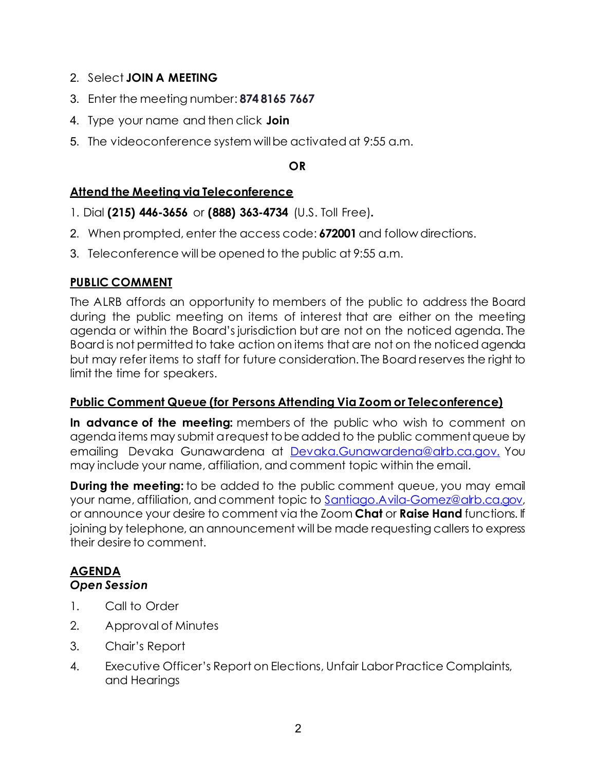- 2. Select **JOIN A MEETING**
- 3. Enter the meeting number: **874 8165 7667**
- 4. Type your name and then click **Join**
- 5. The videoconference system willbe activated at 9:55 a.m.

## **OR**

# **Attend the Meeting via Teleconference**

- 1. Dial **(215) 446-3656** or **(888) 363-4734** (U.S. Toll Free)**.**
- 2. When prompted, enter the access code: **672001** and follow directions.
- 3. Teleconference will be opened to the public at 9:55 a.m.

# **PUBLIC COMMENT**

The ALRB affords an opportunity to members of the public to address the Board during the public meeting on items of interest that are either on the meeting agenda or within the Board's jurisdiction but are not on the noticed agenda. The Board is not permitted to take action on items that are not on the noticed agenda but may refer items to staff for future consideration. The Board reserves the right to limit the time for speakers.

## **Public Comment Queue (for Persons Attending Via Zoom or Teleconference)**

**In advance of the meeting:** members of the public who wish to comment on agenda items may submit a request to be added to the public comment queue by emailing Devaka Gunawardena at [Devaka.Gunawardena@alrb.ca.gov.](mailto:Devaka.Gunawardena@alrb.ca.gov.) You may include your name, affiliation, and comment topic within the email.

**During the meeting:** to be added to the public comment queue, you may email your name, affiliation, and comment topic to [Santiago.Avila-Gomez@alrb.ca.gov,](mailto:Santiago.Avila-Gomez@alrb.ca.gov) or announce your desire to comment via the Zoom **Chat** or **Raise Hand** functions. If joining by telephone, an announcement will be made requesting callers to express their desire to comment.

# **AGENDA**

# *Open Session*

- 1. Call to Order
- 2. Approval of Minutes
- 3. Chair's Report
- 4. Executive Officer's Report on Elections, Unfair Labor Practice Complaints, and Hearings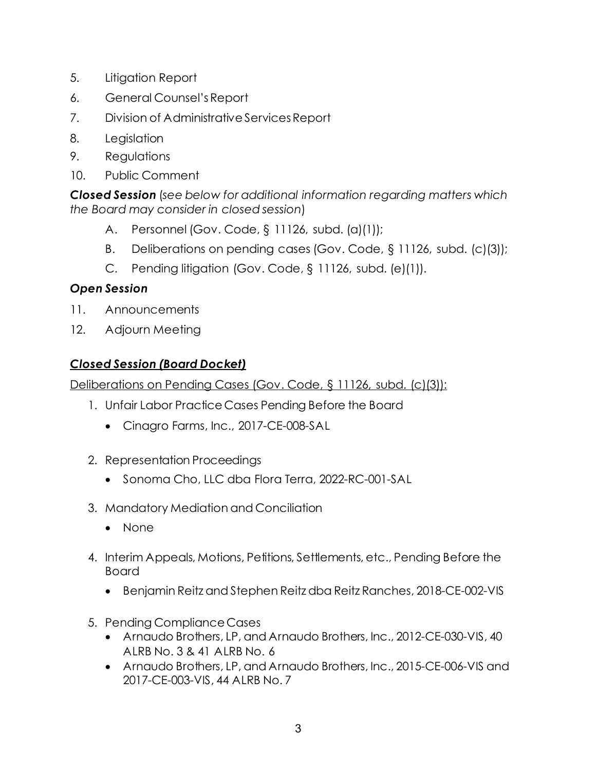- 5. Litigation Report
- 6. General Counsel'sReport
- 7. Division of Administrative Services Report
- 8. Legislation
- 9. Regulations
- 10. Public Comment

*Closed Session* (*see below for additional information regarding matters which the Board may consider in closed session*)

- A. Personnel (Gov. Code, § 11126, subd. (a)(1));
- B. Deliberations on pending cases (Gov. Code, § 11126, subd. (c)(3));
- C. Pending litigation (Gov. Code, § 11126, subd. (e)(1)).

# *Open Session*

- 11. Announcements
- 12. Adjourn Meeting

# *Closed Session (Board Docket)*

Deliberations on Pending Cases (Gov. Code, § 11126, subd. (c)(3)):

- 1. Unfair Labor Practice Cases Pending Before the Board
	- Cinagro Farms, Inc., 2017-CE-008-SAL
- 2. Representation Proceedings
	- Sonoma Cho, LLC dba Flora Terra, 2022-RC-001-SAL
- 3. Mandatory Mediation and Conciliation
	- None
- 4. Interim Appeals, Motions, Petitions, Settlements, etc., Pending Before the Board
	- Benjamin Reitz and Stephen Reitz dba Reitz Ranches, 2018-CE-002-VIS
- 5. Pending Compliance Cases
	- Arnaudo Brothers, LP, and Arnaudo Brothers, Inc., 2012-CE-030-VIS, 40 ALRB No. 3 & 41 ALRB No. 6
	- Arnaudo Brothers, LP, and Arnaudo Brothers, Inc., 2015-CE-006-VIS and 2017-CE-003-VIS, 44 ALRB No. 7